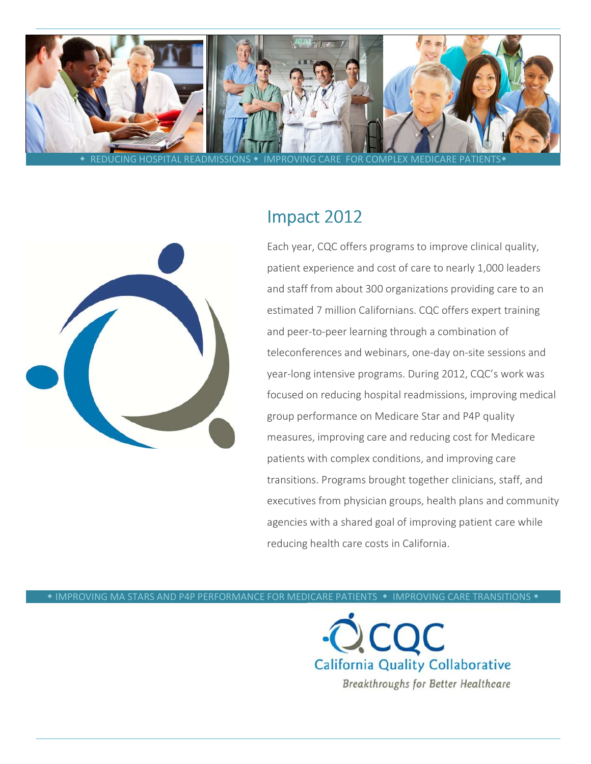



# Impact 2012

Each year, CQC offers programs to improve clinical quality, patient experience and cost of care to nearly 1,000 leaders and staff from about 300 organizations providing care to an estimated 7 million Californians. CQC offers expert training and peer-to-peer learning through a combination of teleconferences and webinars, one-day on-site sessions and year-long intensive programs. During 2012, CQC's work was focused on reducing hospital readmissions, improving medical group performance on Medicare Star and P4P quality measures, improving care and reducing cost for Medicare patients with complex conditions, and improving care transitions. Programs brought together clinicians, staff, and executives from physician groups, health plans and community agencies with a shared goal of improving patient care while reducing health care costs in California.

 $\bullet$  IMPROVING MA STARS AND P4P PERFORMANCE FOR MEDICARE PATIENTS  $\,\bullet\,$  IMPROVING CARE TRANSITIONS  $\,\bullet\,$ 

**California Quality Collaborative** Breakthroughs for Better Healthcare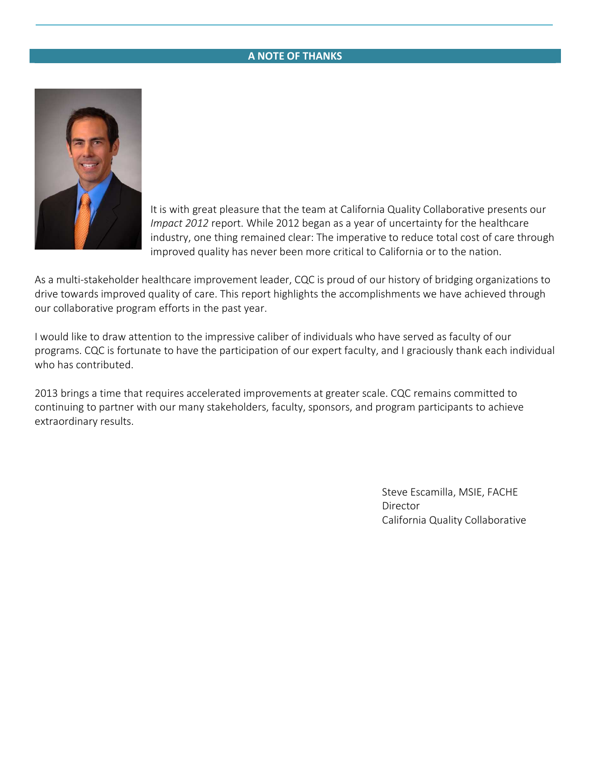## A NOTE OF THANKS



It is with great pleasure that the team at California Quality Collaborative presents our Impact 2012 report. While 2012 began as a year of uncertainty for the healthcare industry, one thing remained clear: The imperative to reduce total cost of care through improved quality has never been more critical to California or to the nation.

As a multi-stakeholder healthcare improvement leader, CQC is proud of our history of bridging organizations to drive towards improved quality of care. This report highlights the accomplishments we have achieved through our collaborative program efforts in the past year.

I would like to draw attention to the impressive caliber of individuals who have served as faculty of our programs. CQC is fortunate to have the participation of our expert faculty, and I graciously thank each individual who has contributed.

2013 brings a time that requires accelerated improvements at greater scale. CQC remains committed to continuing to partner with our many stakeholders, faculty, sponsors, and program participants to achieve extraordinary results.

> Steve Escamilla, MSIE, FACHE Director California Quality Collaborative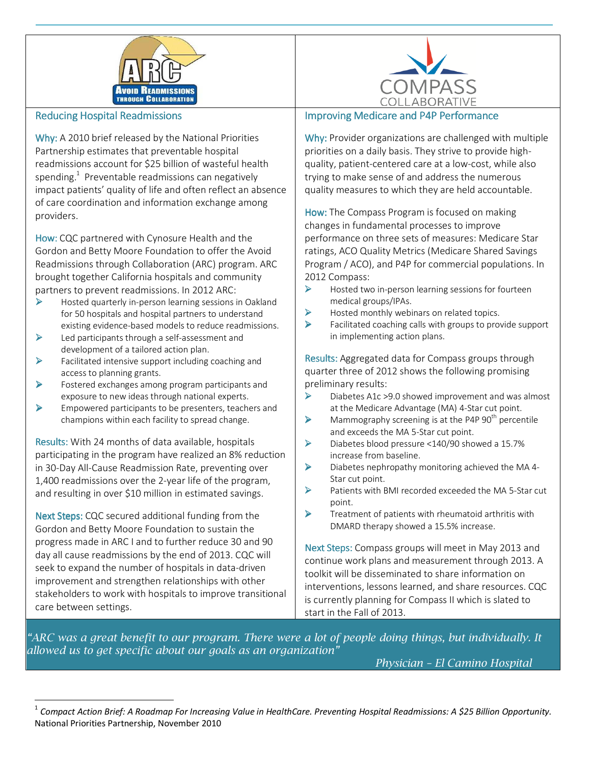



#### **Reducing Hospital Readmissions**

Why: A 2010 brief released by the National Priorities Partnership estimates that preventable hospital readmissions account for \$25 billion of wasteful health spending. $^{1}$  Preventable readmissions can negatively impact patients' quality of life and often reflect an absence of care coordination and information exchange among providers.

How: CQC partnered with Cynosure Health and the Gordon and Betty Moore Foundation to offer the Avoid Readmissions through Collaboration (ARC) program. ARC brought together California hospitals and community partners to prevent readmissions. In 2012 ARC:

- - Hosted quarterly in-person learning sessions in Oakland for 50 hospitals and hospital partners to understand existing evidence-based models to reduce readmissions.
- $\blacktriangleright$  Led participants through a self-assessment and development of a tailored action plan.
- $\blacktriangleright$  Facilitated intensive support including coaching and access to planning grants.
- $\blacktriangleright$  Fostered exchanges among program participants and exposure to new ideas through national experts.
- $\blacktriangleright$  Empowered participants to be presenters, teachers and champions within each facility to spread change.

Results: With 24 months of data available, hospitals participating in the program have realized an 8% reduction in 30-Day All-Cause Readmission Rate, preventing over 1,400 readmissions over the 2-year life of the program, and resulting in over \$10 million in estimated savings.

Next Steps: CQC secured additional funding from the Gordon and Betty Moore Foundation to sustain the progress made in ARC I and to further reduce 30 and 90 day all cause readmissions by the end of 2013. CQC will seek to expand the number of hospitals in data-driven improvement and strengthen relationships with other stakeholders to work with hospitals to improve transitional care between settings.

<u>.</u>

#### Improving Medicare and P4P Performance

Why: Provider organizations are challenged with multiple priorities on a daily basis. They strive to provide highquality, patient-centered care at a low-cost, while also trying to make sense of and address the numerous quality measures to which they are held accountable.

How: The Compass Program is focused on making changes in fundamental processes to improve performance on three sets of measures: Medicare Star ratings, ACO Quality Metrics (Medicare Shared Savings Program / ACO), and P4P for commercial populations. In 2012 Compass:

- - Hosted two in-person learning sessions for fourteen medical groups/IPAs.
- $\blacktriangleright$ Hosted monthly webinars on related topics.
- $\blacktriangleright$  Facilitated coaching calls with groups to provide support in implementing action plans.

Results: Results: Aggregated data for Compass groups through quarter three of 2012 shows the following promising preliminary results:

- $\blacktriangleright$  Diabetes A1c >9.0 showed improvement and was almost at the Medicare Advantage (MA) 4-Star cut point.
- $\blacktriangleright$ Mammography screening is at the P4P  $90<sup>th</sup>$  percentile and exceeds the MA 5-Star cut point.
- - Diabetes blood pressure <140/90 showed a 15.7% increase from baseline.
- $\blacktriangleright$  Diabetes nephropathy monitoring achieved the MA 4- Star cut point.
- $\blacktriangleright$  Patients with BMI recorded exceeded the MA 5-Star cut point.
- - Treatment of patients with rheumatoid arthritis with DMARD therapy showed a 15.5% increase.

Next Steps: Compass groups will meet in May 2013 and continue work plans and measurement through 2013. A toolkit will be disseminated to share information on interventions, lessons learned, and share resources. CQC is currently planning for Compass II which is slated to start in the Fall of 2013.

"ARC was a great benefit to our program. There were a lot of people doing things, but individually. It allowed us to get specific about our goals as an organization"

Physician – El Camino Hospital

<sup>1</sup> Compact Action Brief: A Roadmap For Increasing Value in HealthCare. Preventing Hospital Readmissions: A \$25 Billion Opportunity. National Priorities Partnership, November 2010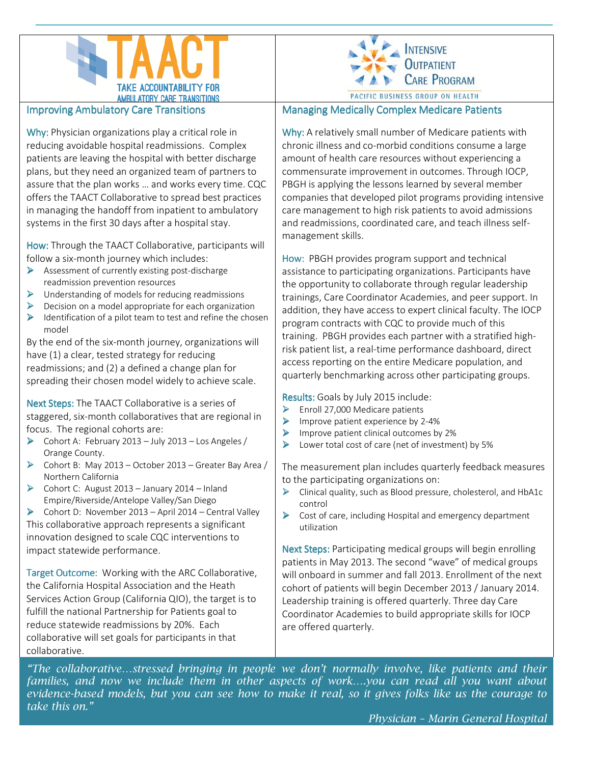



#### **Improving Ambulatory Care Transitions**

Why: Physician organizations play a critical role in reducing avoidable hospital readmissions. Complex patients are leaving the hospital with better discharge plans, but they need an organized team of partners to assure that the plan works … and works every time. CQC offers the TAACT Collaborative to spread best practices in managing the handoff from inpatient to ambulatory systems in the first 30 days after a hospital stay.

How: Through the TAACT Collaborative, participants will follow a six-month journey which includes:

- > Assessment of currently existing post-discharge readmission prevention resources
- > Understanding of models for reducing readmissions
- > Decision on a model appropriate for each organization
- > Identification of a pilot team to test and refine the chosen model

By the end of the six-month journey, organizations will have (1) a clear, tested strategy for reducing readmissions; and (2) a defined a change plan for spreading their chosen model widely to achieve scale.

Next Steps: The TAACT Collaborative is a series of staggered, six-month collaboratives that are regional in focus. The regional cohorts are:

- > Cohort A: February 2013 July 2013 Los Angeles / Orange County.
- > Cohort B: May 2013 October 2013 Greater Bay Area / Northern California
- > Cohort C: August 2013 January 2014 Inland Empire/Riverside/Antelope Valley/San Diego
- > Cohort D: November 2013 April 2014 Central Valley This collaborative approach represents a significant innovation designed to scale CQC interventions to impact statewide performance.

Target Outcome: Working with the ARC Collaborative, the California Hospital Association and the Heath Services Action Group (California QIO), the target is to fulfill the national Partnership for Patients goal to reduce statewide readmissions by 20%. Each collaborative will set goals for participants in that collaborative.

Managing Medically Complex Medicare Patients

Why: A relatively small number of Medicare patients with chronic illness and co-morbid conditions consume a large amount of health care resources without experiencing a commensurate improvement in outcomes. Through IOCP, PBGH is applying the lessons learned by several member companies that developed pilot programs providing intensive care management to high risk patients to avoid admissions and readmissions, coordinated care, and teach illness selfmanagement skills.

How: PBGH provides program support and technical assistance to participating organizations. Participants have the opportunity to collaborate through regular leadership trainings, Care Coordinator Academies, and peer support. In addition, they have access to expert clinical faculty. The IOCP program contracts with CQC to provide much of this training. PBGH provides each partner with a stratified highrisk patient list, a real-time performance dashboard, direct access reporting on the entire Medicare population, and quarterly benchmarking across other participating groups.

Results: Goals by July 2015 include:

- > Enroll 27,000 Medicare patients
- $\blacktriangleright$ Improve patient experience by 2-4%
- $\blacktriangleright$ Improve patient clinical outcomes by 2%
- $\blacktriangleright$ Lower total cost of care (net of investment) by 5%

The measurement plan includes quarterly feedback measures to the participating organizations on:

- > Clinical quality, such as Blood pressure, cholesterol, and HbA1c control
- ▶ Cost of care, including Hospital and emergency department utilization

Next Steps: Participating medical groups will begin enrolling patients in May 2013. The second "wave" of medical groups will onboard in summer and fall 2013. Enrollment of the next cohort of patients will begin December 2013 / January 2014. Leadership training is offered quarterly. Three day Care Coordinator Academies to build appropriate skills for IOCP are offered quarterly.

"The collaborative…stressed bringing in people we don't normally involve, like patients and their families, and now we include them in other aspects of work….you can read all you want about evidence-based models, but you can see how to make it real, so it gives folks like us the courage to take this on."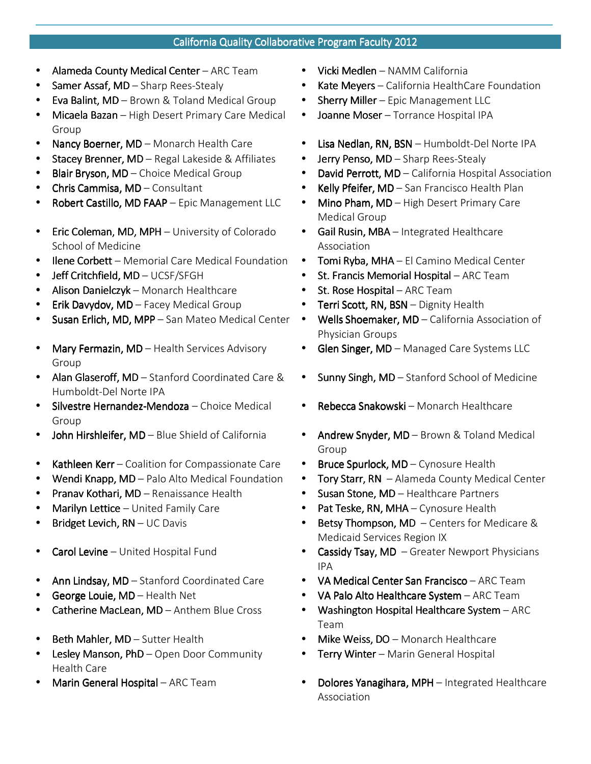## California Quality Collaborative Program Faculty 2012

- Alameda County Medical Center ARC Team **•** Vicki Medlen NAMM California
- 
- **Eva Balint, MD** Brown & Toland Medical Group Sherry Miller Epic Management LLC
- Micaela Bazan High Desert Primary Care Medical Group
- 
- Stacey Brenner, MD Regal Lakeside & Affiliates Jerry Penso, MD Sharp Rees-Stealy
- 
- 
- Robert Castillo, MD FAAP Epic Management LLC . Mino Pham, MD High Desert Primary Care
- **Eric Coleman, MD, MPH** University of Colorado School of Medicine
- Ilene Corbett Memorial Care Medical Foundation Tomi Ryba, MHA El Camino Medical Center
- 
- Alison Danielczyk Monarch Healthcare St. Rose Hospital ARC Team
- **Erik Davydov, MD** Facey Medical Group **Erick Davydov, MD** Facey Medical Group
- Susan Erlich, MD, MPP San Mateo Medical Center Wells Shoemaker, MD California Association of
- Mary Fermazin, MD Health Services Advisory Group
- Alan Glaseroff, MD Stanford Coordinated Care & Humboldt-Del Norte IPA
- Silvestre Hernandez-Mendoza Choice Medical Group
- 
- Kathleen Kerr Coalition for Compassionate Care Bruce Spurlock, MD Cynosure Health
- Wendi Knapp, MD Palo Alto Medical Foundation Tory Starr, RN Alameda County Medical Center
- Pranav Kothari, MD Renaissance Health Susan Stone, MD Healthcare Partners
- 
- 
- 
- Ann Lindsay, MD Stanford Coordinated Care VA Medical Center San Francisco ARC Team
- 
- 
- 
- Lesley Manson, PhD Open Door Community Health Care
- 
- 
- Samer Assaf, MD Sharp Rees-Stealy **Assache California HealthCare Foundation California HealthCare Foundation** 
	-
	- Joanne Moser Torrance Hospital IPA
- Nancy Boerner, MD Monarch Health Care Lisa Nedlan, RN, BSN Humboldt-Del Norte IPA
	-
- Blair Bryson, MD Choice Medical Group David Perrott, MD California Hospital Association
- Chris Cammisa, MD Consultant Chris Cammisa, MD Consultant Chris Chris Cammisa, MD San Francisco Health Plan
	- Medical Group
	- Gail Rusin, MBA Integrated Healthcare Association
	-
- Jeff Critchfield, MD UCSF/SFGH St. Francis Memorial Hospital ARC Team
	-
	-
	- Physician Groups
	- Glen Singer, MD Managed Care Systems LLC
	- Sunny Singh,  $MD -$  Stanford School of Medicine
	- Rebecca Snakowski Monarch Healthcare
	- John Hirshleifer, MD Blue Shield of California **Mullet Andrew Snyder, MD** Brown & Toland Medical Group
		-
		-
		-
	- **Marilyn Lettice** United Family Care  **Pat Teske, RN, MHA** Cynosure Health
- Bridget Levich, RN UC Davis **Bridget Levich, RN UC Davis Bridget Levich, RN UC Davis Bridget Research AD** Centers for Medicare & Medicaid Services Region IX
	- **Carol Levine** United Hospital Fund  **Cassidy Tsay, MD** Greater Newport Physicians IPA
		-
- George Louie, MD Health Net **Louise Council 1999 VA Palo Alto Healthcare System ARC Team** 
	- **Catherine MacLean, MD** Anthem Blue Cross **Catherington Hospital Healthcare System** ARC Team
- Beth Mahler, MD Sutter Health **MD** Mike Weiss, DO Monarch Healthcare
	- **Terry Winter** Marin General Hospital
- Marin General Hospital ARC Team Dolores Yanagihara, MPH Integrated Healthcare Association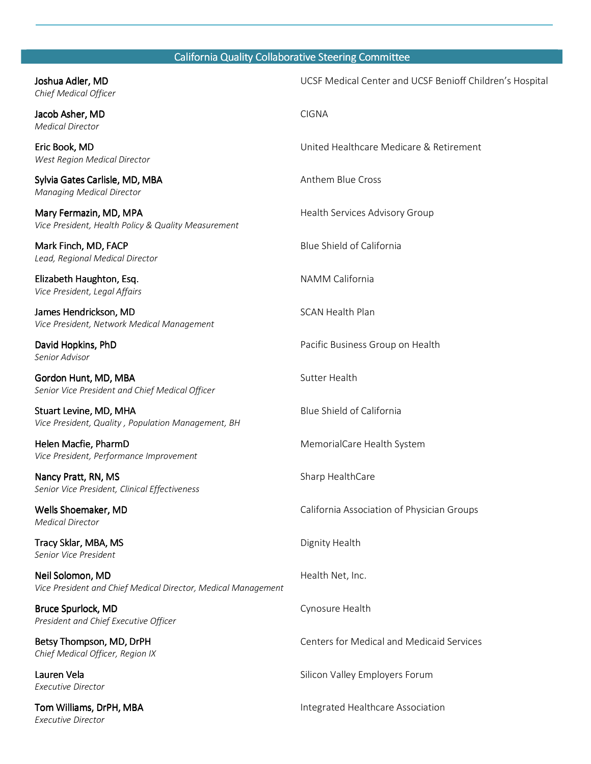## California Quality Collaborative Steering Committee

| Joshua Adler, MD<br>Chief Medical Officer                                         | UCSF Medical Center and UCSF Benioff Children's Hospital |
|-----------------------------------------------------------------------------------|----------------------------------------------------------|
| Jacob Asher, MD<br><b>Medical Director</b>                                        | <b>CIGNA</b>                                             |
| Eric Book, MD<br>West Region Medical Director                                     | United Healthcare Medicare & Retirement                  |
| Sylvia Gates Carlisle, MD, MBA<br><b>Managing Medical Director</b>                | Anthem Blue Cross                                        |
| Mary Fermazin, MD, MPA<br>Vice President, Health Policy & Quality Measurement     | Health Services Advisory Group                           |
| Mark Finch, MD, FACP<br>Lead, Regional Medical Director                           | Blue Shield of California                                |
| Elizabeth Haughton, Esq.<br>Vice President, Legal Affairs                         | NAMM California                                          |
| James Hendrickson, MD<br>Vice President, Network Medical Management               | <b>SCAN Health Plan</b>                                  |
| David Hopkins, PhD<br>Senior Advisor                                              | Pacific Business Group on Health                         |
| Gordon Hunt, MD, MBA<br>Senior Vice President and Chief Medical Officer           | Sutter Health                                            |
| Stuart Levine, MD, MHA<br>Vice President, Quality, Population Management, BH      | Blue Shield of California                                |
| Helen Macfie, PharmD<br>Vice President, Performance Improvement                   | MemorialCare Health System                               |
| Nancy Pratt, RN, MS<br>Senior Vice President, Clinical Effectiveness              | Sharp HealthCare                                         |
| Wells Shoemaker, MD<br><b>Medical Director</b>                                    | California Association of Physician Groups               |
| Tracy Sklar, MBA, MS<br>Senior Vice President                                     | Dignity Health                                           |
| Neil Solomon, MD<br>Vice President and Chief Medical Director, Medical Management | Health Net, Inc.                                         |
| Bruce Spurlock, MD<br>President and Chief Executive Officer                       | Cynosure Health                                          |
| Betsy Thompson, MD, DrPH<br>Chief Medical Officer, Region IX                      | <b>Centers for Medical and Medicaid Services</b>         |
| Lauren Vela<br><b>Executive Director</b>                                          | Silicon Valley Employers Forum                           |
| Tom Williams, DrPH, MBA<br><b>Executive Director</b>                              | Integrated Healthcare Association                        |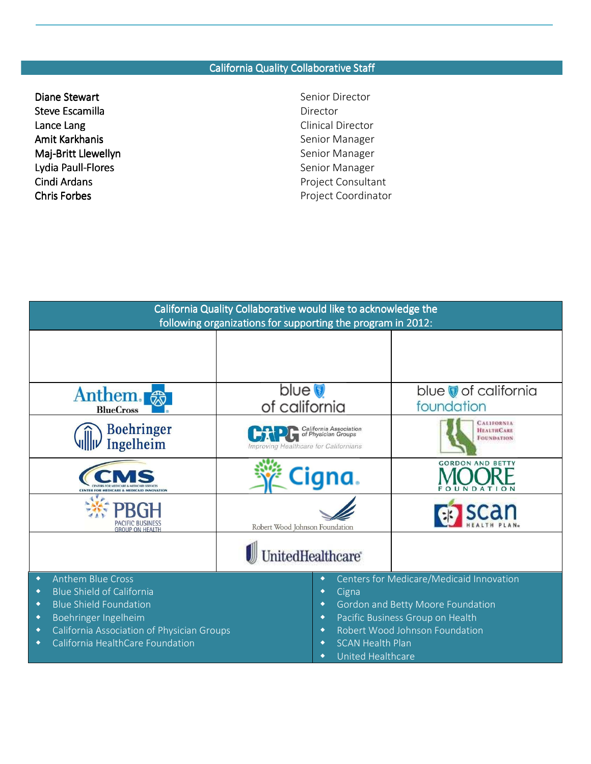### California Quality Collaborative Staff

- **Diane Stewart Senior Director** Senior Director Steve Escamilla Escamilla Escamilla Escamilla Escamilla Escamilla Escambus Escamilla Escambus Escambus Escambus Escambus Escambus Escambus Escambus Escambus Escambus Escambus Escambus Escambus Escambus Escambus Escambus Es Lance Lang **Clinical Director** Amit Karkhanis **Senior Manager** Senior Manager Maj-Britt Llewellyn **Britt Llewellyn** Britt Llewellyn Senior Manager Lydia Paull-Flores **Senior Manager** Senior Manager
- Cindi Ardans **Project Consultant** Chris Forbes **Project Coordinator** Project Coordinator